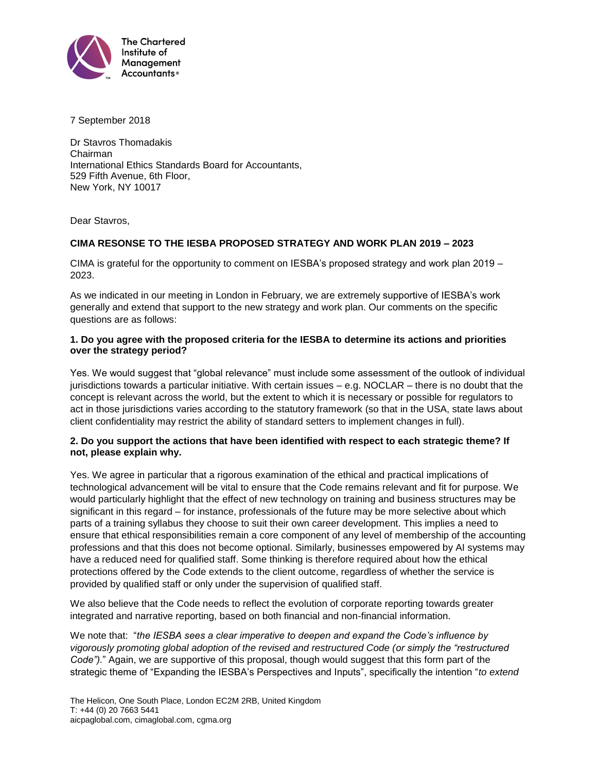

7 September 2018

Dr Stavros Thomadakis Chairman International Ethics Standards Board for Accountants, 529 Fifth Avenue, 6th Floor, New York, NY 10017

Dear Stavros,

# **CIMA RESONSE TO THE IESBA PROPOSED STRATEGY AND WORK PLAN 2019 – 2023**

CIMA is grateful for the opportunity to comment on IESBA's proposed strategy and work plan 2019 – 2023.

As we indicated in our meeting in London in February, we are extremely supportive of IESBA's work generally and extend that support to the new strategy and work plan. Our comments on the specific questions are as follows:

### **1. Do you agree with the proposed criteria for the IESBA to determine its actions and priorities over the strategy period?**

Yes. We would suggest that "global relevance" must include some assessment of the outlook of individual jurisdictions towards a particular initiative. With certain issues – e.g. NOCLAR – there is no doubt that the concept is relevant across the world, but the extent to which it is necessary or possible for regulators to act in those jurisdictions varies according to the statutory framework (so that in the USA, state laws about client confidentiality may restrict the ability of standard setters to implement changes in full).

# **2. Do you support the actions that have been identified with respect to each strategic theme? If not, please explain why.**

Yes. We agree in particular that a rigorous examination of the ethical and practical implications of technological advancement will be vital to ensure that the Code remains relevant and fit for purpose. We would particularly highlight that the effect of new technology on training and business structures may be significant in this regard – for instance, professionals of the future may be more selective about which parts of a training syllabus they choose to suit their own career development. This implies a need to ensure that ethical responsibilities remain a core component of any level of membership of the accounting professions and that this does not become optional. Similarly, businesses empowered by AI systems may have a reduced need for qualified staff. Some thinking is therefore required about how the ethical protections offered by the Code extends to the client outcome, regardless of whether the service is provided by qualified staff or only under the supervision of qualified staff.

We also believe that the Code needs to reflect the evolution of corporate reporting towards greater integrated and narrative reporting, based on both financial and non-financial information.

We note that: "*the IESBA sees a clear imperative to deepen and expand the Code's influence by vigorously promoting global adoption of the revised and restructured Code (or simply the "restructured Code").*" Again, we are supportive of this proposal, though would suggest that this form part of the strategic theme of "Expanding the IESBA's Perspectives and Inputs", specifically the intention "*to extend*